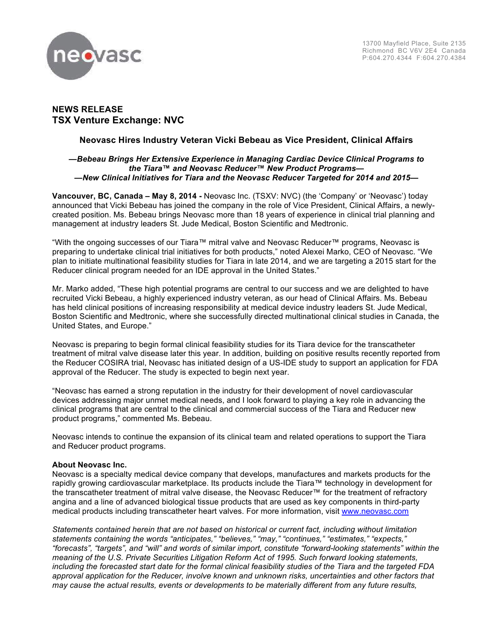

# **NEWS RELEASE TSX Venture Exchange: NVC**

## **Neovasc Hires Industry Veteran Vicki Bebeau as Vice President, Clinical Affairs**

### *—Bebeau Brings Her Extensive Experience in Managing Cardiac Device Clinical Programs to the Tiara***™** *and Neovasc Reducer***™** *New Product Programs— —New Clinical Initiatives for Tiara and the Neovasc Reducer Targeted for 2014 and 2015—*

**Vancouver, BC, Canada – May 8, 2014 -** Neovasc Inc. (TSXV: NVC) (the 'Company' or 'Neovasc') today announced that Vicki Bebeau has joined the company in the role of Vice President, Clinical Affairs, a newlycreated position. Ms. Bebeau brings Neovasc more than 18 years of experience in clinical trial planning and management at industry leaders St. Jude Medical, Boston Scientific and Medtronic.

"With the ongoing successes of our Tiara™ mitral valve and Neovasc Reducer™ programs, Neovasc is preparing to undertake clinical trial initiatives for both products," noted Alexei Marko, CEO of Neovasc. "We plan to initiate multinational feasibility studies for Tiara in late 2014, and we are targeting a 2015 start for the Reducer clinical program needed for an IDE approval in the United States."

Mr. Marko added, "These high potential programs are central to our success and we are delighted to have recruited Vicki Bebeau, a highly experienced industry veteran, as our head of Clinical Affairs. Ms. Bebeau has held clinical positions of increasing responsibility at medical device industry leaders St. Jude Medical, Boston Scientific and Medtronic, where she successfully directed multinational clinical studies in Canada, the United States, and Europe."

Neovasc is preparing to begin formal clinical feasibility studies for its Tiara device for the transcatheter treatment of mitral valve disease later this year. In addition, building on positive results recently reported from the Reducer COSIRA trial, Neovasc has initiated design of a US-IDE study to support an application for FDA approval of the Reducer. The study is expected to begin next year.

"Neovasc has earned a strong reputation in the industry for their development of novel cardiovascular devices addressing major unmet medical needs, and I look forward to playing a key role in advancing the clinical programs that are central to the clinical and commercial success of the Tiara and Reducer new product programs," commented Ms. Bebeau.

Neovasc intends to continue the expansion of its clinical team and related operations to support the Tiara and Reducer product programs.

## **About Neovasc Inc.**

Neovasc is a specialty medical device company that develops, manufactures and markets products for the rapidly growing cardiovascular marketplace. Its products include the Tiara™ technology in development for the transcatheter treatment of mitral valve disease, the Neovasc Reducer™ for the treatment of refractory angina and a line of advanced biological tissue products that are used as key components in third-party medical products including transcatheter heart valves. For more information, visit www.neovasc.com

*Statements contained herein that are not based on historical or current fact, including without limitation statements containing the words "anticipates," "believes," "may," "continues," "estimates," "expects," "forecasts", "targets", and "will" and words of similar import, constitute "forward-looking statements" within the meaning of the U.S. Private Securities Litigation Reform Act of 1995. Such forward looking statements, including the forecasted start date for the formal clinical feasibility studies of the Tiara and the targeted FDA approval application for the Reducer, involve known and unknown risks, uncertainties and other factors that may cause the actual results, events or developments to be materially different from any future results,*